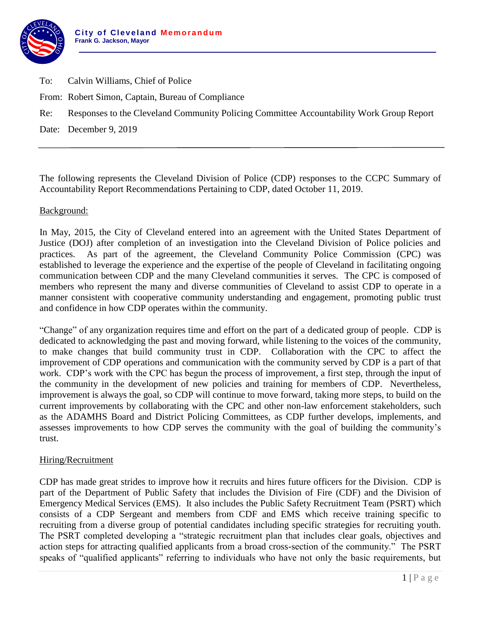

- To: Calvin Williams, Chief of Police
- From: Robert Simon, Captain, Bureau of Compliance
- Re: Responses to the Cleveland Community Policing Committee Accountability Work Group Report

Date: December 9, 2019

The following represents the Cleveland Division of Police (CDP) responses to the CCPC Summary of Accountability Report Recommendations Pertaining to CDP, dated October 11, 2019.

#### Background:

In May, 2015, the City of Cleveland entered into an agreement with the United States Department of Justice (DOJ) after completion of an investigation into the Cleveland Division of Police policies and practices. As part of the agreement, the Cleveland Community Police Commission (CPC) was established to leverage the experience and the expertise of the people of Cleveland in facilitating ongoing communication between CDP and the many Cleveland communities it serves. The CPC is composed of members who represent the many and diverse communities of Cleveland to assist CDP to operate in a manner consistent with cooperative community understanding and engagement, promoting public trust and confidence in how CDP operates within the community.

"Change" of any organization requires time and effort on the part of a dedicated group of people. CDP is dedicated to acknowledging the past and moving forward, while listening to the voices of the community, to make changes that build community trust in CDP. Collaboration with the CPC to affect the improvement of CDP operations and communication with the community served by CDP is a part of that work. CDP's work with the CPC has begun the process of improvement, a first step, through the input of the community in the development of new policies and training for members of CDP. Nevertheless, improvement is always the goal, so CDP will continue to move forward, taking more steps, to build on the current improvements by collaborating with the CPC and other non-law enforcement stakeholders, such as the ADAMHS Board and District Policing Committees, as CDP further develops, implements, and assesses improvements to how CDP serves the community with the goal of building the community's trust.

#### Hiring/Recruitment

CDP has made great strides to improve how it recruits and hires future officers for the Division. CDP is part of the Department of Public Safety that includes the Division of Fire (CDF) and the Division of Emergency Medical Services (EMS). It also includes the Public Safety Recruitment Team (PSRT) which consists of a CDP Sergeant and members from CDF and EMS which receive training specific to recruiting from a diverse group of potential candidates including specific strategies for recruiting youth. The PSRT completed developing a "strategic recruitment plan that includes clear goals, objectives and action steps for attracting qualified applicants from a broad cross-section of the community." The PSRT speaks of "qualified applicants" referring to individuals who have not only the basic requirements, but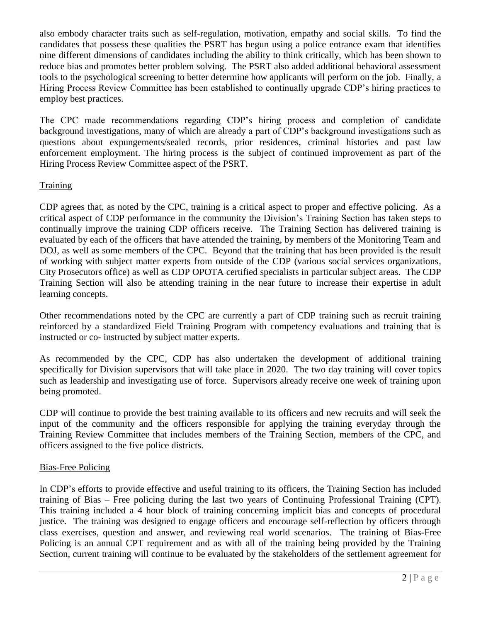also embody character traits such as self-regulation, motivation, empathy and social skills. To find the candidates that possess these qualities the PSRT has begun using a police entrance exam that identifies nine different dimensions of candidates including the ability to think critically, which has been shown to reduce bias and promotes better problem solving. The PSRT also added additional behavioral assessment tools to the psychological screening to better determine how applicants will perform on the job. Finally, a Hiring Process Review Committee has been established to continually upgrade CDP's hiring practices to employ best practices.

The CPC made recommendations regarding CDP's hiring process and completion of candidate background investigations, many of which are already a part of CDP's background investigations such as questions about expungements/sealed records, prior residences, criminal histories and past law enforcement employment. The hiring process is the subject of continued improvement as part of the Hiring Process Review Committee aspect of the PSRT.

# **Training**

CDP agrees that, as noted by the CPC, training is a critical aspect to proper and effective policing. As a critical aspect of CDP performance in the community the Division's Training Section has taken steps to continually improve the training CDP officers receive. The Training Section has delivered training is evaluated by each of the officers that have attended the training, by members of the Monitoring Team and DOJ, as well as some members of the CPC. Beyond that the training that has been provided is the result of working with subject matter experts from outside of the CDP (various social services organizations, City Prosecutors office) as well as CDP OPOTA certified specialists in particular subject areas. The CDP Training Section will also be attending training in the near future to increase their expertise in adult learning concepts.

Other recommendations noted by the CPC are currently a part of CDP training such as recruit training reinforced by a standardized Field Training Program with competency evaluations and training that is instructed or co- instructed by subject matter experts.

As recommended by the CPC, CDP has also undertaken the development of additional training specifically for Division supervisors that will take place in 2020. The two day training will cover topics such as leadership and investigating use of force. Supervisors already receive one week of training upon being promoted.

CDP will continue to provide the best training available to its officers and new recruits and will seek the input of the community and the officers responsible for applying the training everyday through the Training Review Committee that includes members of the Training Section, members of the CPC, and officers assigned to the five police districts.

# Bias-Free Policing

In CDP's efforts to provide effective and useful training to its officers, the Training Section has included training of Bias – Free policing during the last two years of Continuing Professional Training (CPT). This training included a 4 hour block of training concerning implicit bias and concepts of procedural justice. The training was designed to engage officers and encourage self-reflection by officers through class exercises, question and answer, and reviewing real world scenarios. The training of Bias-Free Policing is an annual CPT requirement and as with all of the training being provided by the Training Section, current training will continue to be evaluated by the stakeholders of the settlement agreement for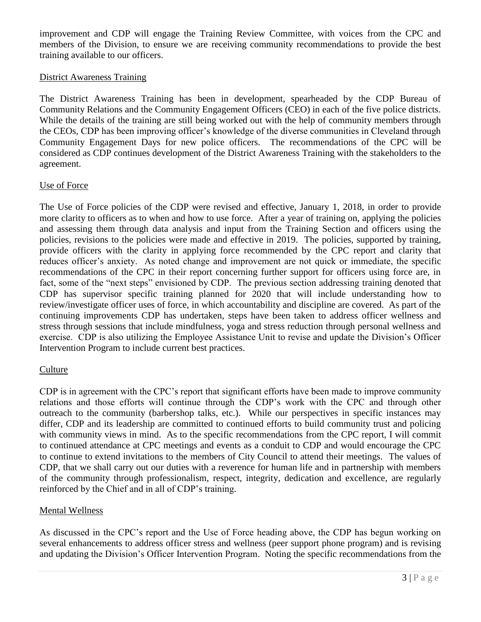improvement and CDP will engage the Training Review Committee, with voices from the CPC and members of the Division, to ensure we are receiving community recommendations to provide the best training available to our officers.

### District Awareness Training

The District Awareness Training has been in development, spearheaded by the CDP Bureau of Community Relations and the Community Engagement Officers (CEO) in each of the five police districts. While the details of the training are still being worked out with the help of community members through the CEOs, CDP has been improving officer's knowledge of the diverse communities in Cleveland through Community Engagement Days for new police officers. The recommendations of the CPC will be considered as CDP continues development of the District Awareness Training with the stakeholders to the agreement.

### Use of Force

The Use of Force policies of the CDP were revised and effective, January 1, 2018, in order to provide more clarity to officers as to when and how to use force. After a year of training on, applying the policies and assessing them through data analysis and input from the Training Section and officers using the policies, revisions to the policies were made and effective in 2019. The policies, supported by training, provide officers with the clarity in applying force recommended by the CPC report and clarity that reduces officer's anxiety. As noted change and improvement are not quick or immediate, the specific recommendations of the CPC in their report concerning further support for officers using force are, in fact, some of the "next steps" envisioned by CDP. The previous section addressing training denoted that CDP has supervisor specific training planned for 2020 that will include understanding how to review/investigate officer uses of force, in which accountability and discipline are covered. As part of the continuing improvements CDP has undertaken, steps have been taken to address officer wellness and stress through sessions that include mindfulness, yoga and stress reduction through personal wellness and exercise. CDP is also utilizing the Employee Assistance Unit to revise and update the Division's Officer Intervention Program to include current best practices.

# Culture

CDP is in agreement with the CPC's report that significant efforts have been made to improve community relations and those efforts will continue through the CDP's work with the CPC and through other outreach to the community (barbershop talks, etc.). While our perspectives in specific instances may differ, CDP and its leadership are committed to continued efforts to build community trust and policing with community views in mind. As to the specific recommendations from the CPC report, I will commit to continued attendance at CPC meetings and events as a conduit to CDP and would encourage the CPC to continue to extend invitations to the members of City Council to attend their meetings. The values of CDP, that we shall carry out our duties with a reverence for human life and in partnership with members of the community through professionalism, respect, integrity, dedication and excellence, are regularly reinforced by the Chief and in all of CDP's training.

# Mental Wellness

As discussed in the CPC's report and the Use of Force heading above, the CDP has begun working on several enhancements to address officer stress and wellness (peer support phone program) and is revising and updating the Division's Officer Intervention Program. Noting the specific recommendations from the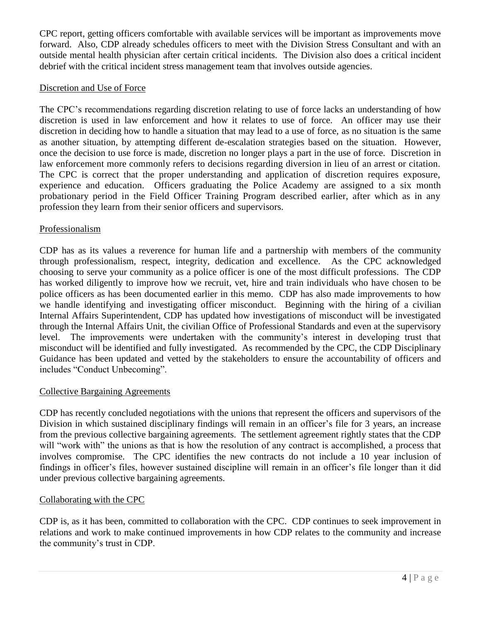CPC report, getting officers comfortable with available services will be important as improvements move forward. Also, CDP already schedules officers to meet with the Division Stress Consultant and with an outside mental health physician after certain critical incidents. The Division also does a critical incident debrief with the critical incident stress management team that involves outside agencies.

#### Discretion and Use of Force

The CPC's recommendations regarding discretion relating to use of force lacks an understanding of how discretion is used in law enforcement and how it relates to use of force. An officer may use their discretion in deciding how to handle a situation that may lead to a use of force, as no situation is the same as another situation, by attempting different de-escalation strategies based on the situation. However, once the decision to use force is made, discretion no longer plays a part in the use of force. Discretion in law enforcement more commonly refers to decisions regarding diversion in lieu of an arrest or citation. The CPC is correct that the proper understanding and application of discretion requires exposure, experience and education. Officers graduating the Police Academy are assigned to a six month probationary period in the Field Officer Training Program described earlier, after which as in any profession they learn from their senior officers and supervisors.

### Professionalism

CDP has as its values a reverence for human life and a partnership with members of the community through professionalism, respect, integrity, dedication and excellence. As the CPC acknowledged choosing to serve your community as a police officer is one of the most difficult professions. The CDP has worked diligently to improve how we recruit, vet, hire and train individuals who have chosen to be police officers as has been documented earlier in this memo. CDP has also made improvements to how we handle identifying and investigating officer misconduct. Beginning with the hiring of a civilian Internal Affairs Superintendent, CDP has updated how investigations of misconduct will be investigated through the Internal Affairs Unit, the civilian Office of Professional Standards and even at the supervisory level. The improvements were undertaken with the community's interest in developing trust that misconduct will be identified and fully investigated. As recommended by the CPC, the CDP Disciplinary Guidance has been updated and vetted by the stakeholders to ensure the accountability of officers and includes "Conduct Unbecoming".

#### Collective Bargaining Agreements

CDP has recently concluded negotiations with the unions that represent the officers and supervisors of the Division in which sustained disciplinary findings will remain in an officer's file for 3 years, an increase from the previous collective bargaining agreements. The settlement agreement rightly states that the CDP will "work with" the unions as that is how the resolution of any contract is accomplished, a process that involves compromise. The CPC identifies the new contracts do not include a 10 year inclusion of findings in officer's files, however sustained discipline will remain in an officer's file longer than it did under previous collective bargaining agreements.

#### Collaborating with the CPC

CDP is, as it has been, committed to collaboration with the CPC. CDP continues to seek improvement in relations and work to make continued improvements in how CDP relates to the community and increase the community's trust in CDP.